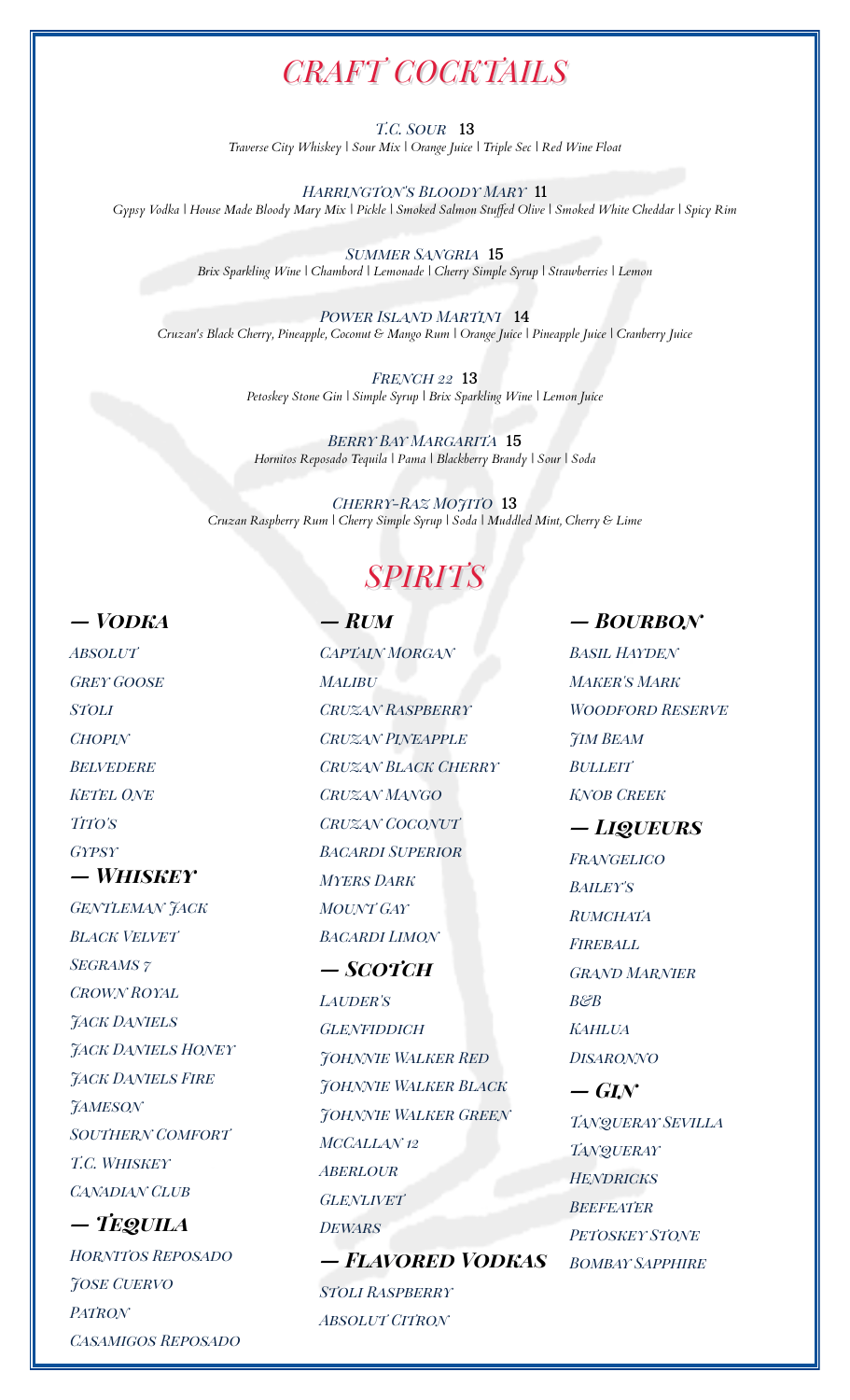## *CRAFT COCKTAILS*

*T.C. Sour* 13 *Traverse City Whiskey | Sour Mix | Orange Juice | Triple Sec | Red Wine Float*

*Harrington's Bloody Mary* 11 *Gypsy Vodka | House Made Bloody Mary Mix | Pickle | Smoked Salmon Stuffed Olive | Smoked White Cheddar | Spicy Rim*

> *Summer Sangria* 15 *Brix Sparkling Wine | Chambord | Lemonade | Cherry Simple Syrup | Strawberries | Lemon*

*Power Island Martini* 14 *Cruzan's Black Cherry, Pineapple, Coconut & Mango Rum | Orange Juice | Pineapple Juice | Cranberry Juice*

> *French 22* 13 *Petoskey Stone Gin | Simple Syrup | Brix Sparkling Wine | Lemon Juice*

*Berry Bay Margarita* 15 *Hornitos Reposado Tequila | Pama | Blackberry Brandy | Sour | Soda*

*Cherry-Raz Mojito* 13 *Cruzan Raspberry Rum | Cherry Simple Syrup | Soda | Muddled Mint, Cherry & Lime*

## *SPIRITS*

*Gypsy — Whiskey Gentleman Jack Black Velvet Segrams 7 Crown Royal Jack Daniels Jack Daniels Honey Jack Daniels Fire Jameson Southern Comfort T.C. Whiskey Canadian Club — Tequila*

*Hornitos Reposado Jose Cuervo Patron Casamigos Reposado*

*Absolut Captain Morgan Basil Hayden Grey Goose Malibu Maker's Mark Stoli Cruzan Raspberry Woodford Reserve Chopin Cruzan Pineapple Jim Beam Belvedere Cruzan Black Cherry Bulleit Ketel One Cruzan Mango Knob Creek Tito's Cruzan Coconut — Liqueurs Bacardi Superior Frangelico Myers Dark Bailey's Mount Gay Rumchata Bacardi Limon Fireball*

*Lauder's B&B Glenfiddich Kahlua Johnnie Walker Red Disaronno Johnnie Walker Black — Gin Johnnie Walker Green Tanqueray Sevilla McCallan 12 Tanqueray Aberlour Hendricks Glenlivet Beefeater Dewars Petoskey Stone — Flavored Vodkas Bombay Sapphire Stoli Raspberry Absolut Citron*

## *— Vodka — Rum — Bourbon*

*— Scotch Grand Marnier*